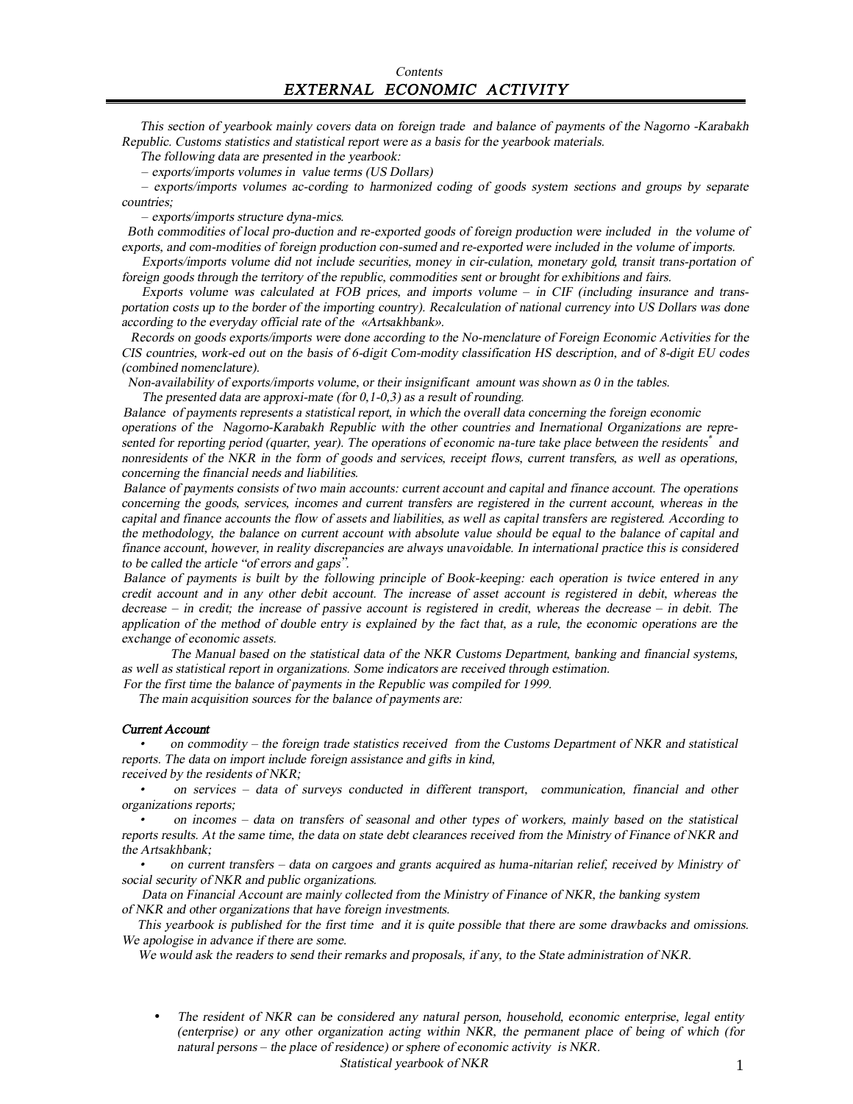This section of yearbook mainly covers data on foreign trade and balance of payments of the Nagorno -Karabakh *Republic. Customs statistics and statistical report were as <sup>a</sup> basis for the yearbook materials.* 

*The following data are presented in the yearbook:* 

– *exports/imports volumes in value terms (US Dollars)* 

– *exports/imports volumes ac-cording to harmonized coding of goods system sections and groups by separate countries;* 

– *exports/imports structure dyna-mics.* 

 *Both commodities of local pro-duction and re-exported goods of foreign production were included in the volume of exports, and com-modities of foreign production con-sumed and re-exported were included in the volume of imports.* 

*Exports/imports volume did not include securities, money in cir-culation, monetary gold, transit trans-portation of foreign goods through the territory of the republic, commodities sent or brought for exhibitions and fairs.* 

*Exports volume was calculated at FOB prices, and imports volume* – *in CIF (including insurance and trans*portation costs up to the border of the importing country). Recalculation of national currency into US Dollars was done *according* to the *everyday official* rate *of* the *«Artsakhbank»*.

 *Records on goods exports/imports were done according to the No-menclature of Foreign Economic Activities for the*  CIS countries, work-ed out on the basis of 6-digit Com-modity classification HS description, and of 8-digit EU codes *(combined nomenclature).* 

*Non-availability of exports/imports volume, or their insignificant amount was shown as 0 in the tables.* 

*The presented data are approxi-mate (for 0,1-0,3) as <sup>a</sup> result of rounding.* 

*Balance of payments represents <sup>a</sup> statistical report, in which the overall data concerning the foreign economic operations of the Nagorno-Karabakh Republic with the other countries and Inernational Organizations are repre*sented for reporting period (quarter, year). The operations of economic na-ture take place between the residents<sup>\*</sup> and nonresidents of the NKR in the form of goods and services, receipt flows, current transfers, as well as operations, *concerning the financial needs and liabilities.* 

Balance of payments consists of two main accounts: current account and capital and finance account. The operations concerning the goods, services, incomes and current transfers are registered in the current account, whereas in the capital and finance accounts the flow of assets and liabilities, as well as capital transfers are registered. According to the methodology, the balance on current account with absolute value should be equal to the balance of capital and *finance account, however, in reality discrepancies are always unavoidable. In international practice this is considered to be called the article "of errors and gaps".* 

Balance of payments is built by the following principle of Book-keeping: each operation is twice entered in any credit account and in any other debit account. The increase of asset account is registered in debit, whereas the  $\alpha$  decrease – in credit; the increase of passive account is registered in credit, whereas the decrease – in debit. The application of the method of double entry is explained by the fact that, as a rule, the economic operations are the *exchange of economic assets.* 

*The Manual based on the statistical data of the NKR Customs Department, banking and financial systems, as well as statistical report in organizations. Some indicators are received through estimation. For the first time the balance of payments in the Republic was compiled for 1999.* 

 *The main acquisition sources for the balance of payments are:* 

#### *Current Account*

*• on commodity – the foreign trade statistics received from the Customs Department of NKR and statistical reports. The data on import include foreign assistance and gifts in kind, received by the residents of NKR;* 

*• on services – data of surveys conducted in different transport, communication, financial and other organizations reports;* 

*•*on incomes – data on transfers of seasonal and other types of workers, mainly based on the statistical reports results. At the same time, the data on state debt clearances received from the Ministry of Finance of NKR and *the Artsakhbank;* 

*•*on current transfers – data on cargoes and grants acquired as huma-nitarian relief, received by Ministry of *social security of NKR and public organizations.* 

*Data on Financial Account are mainly collected from the Ministry of Finance of NKR, the banking system of NKR and other organizations that have foreign investments.* 

This yearbook is published for the first time and it is quite possible that there are some drawbacks and omissions. *We apologise in advance if there are some.*

*We would ask the readers to send their remarks and proposals, if any, to the State administration of NKR*.

• *The resident of NKR can be considered any natural person, household, economic enterprise, legal entity (enterprise) or any other organization acting within NKR, the permanent place of being of which (for natural persons* – *the place of residence) or sphere of economic activity is NKR.* 

*Statistical yearbook of NKR* 1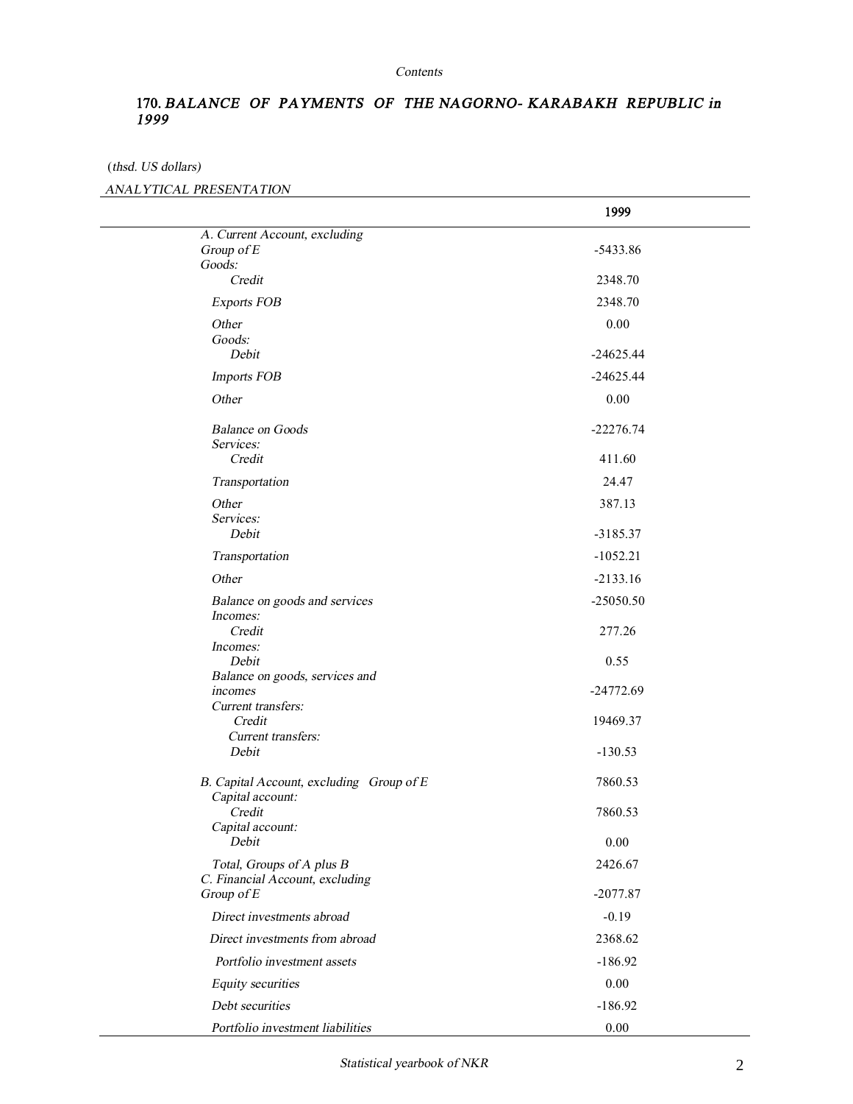#### *Contents*

## **170.** *BALANCE OF PAYMENTS OF THE NAGORNO- KARABAKH REPUBLIC in 1999*

(*thsd. US dollars)*

#### *ANALYTICAL PRESENTATION*

|                                               | 1999        |  |
|-----------------------------------------------|-------------|--|
| A. Current Account, excluding                 |             |  |
| Group of E                                    | $-5433.86$  |  |
| Goods:                                        |             |  |
| Credit                                        | 2348.70     |  |
| <b>Exports FOB</b>                            | 2348.70     |  |
| Other                                         | 0.00        |  |
| Goods:                                        |             |  |
| Debit                                         | $-24625.44$ |  |
| <b>Imports FOB</b>                            | $-24625.44$ |  |
| Other                                         | 0.00        |  |
| <b>Balance on Goods</b>                       | $-22276.74$ |  |
| Services:                                     |             |  |
| Credit                                        | 411.60      |  |
| Transportation                                | 24.47       |  |
| Other                                         | 387.13      |  |
| Services:                                     |             |  |
| Debit                                         | $-3185.37$  |  |
| Transportation                                | $-1052.21$  |  |
| Other                                         | $-2133.16$  |  |
| Balance on goods and services                 | $-25050.50$ |  |
| Incomes:                                      |             |  |
| Credit                                        | 277.26      |  |
| Incomes:<br>Debit                             | 0.55        |  |
| Balance on goods, services and                |             |  |
| incomes                                       | $-24772.69$ |  |
| Current transfers:                            |             |  |
| Credit                                        | 19469.37    |  |
| Current transfers:                            |             |  |
| Debit                                         | $-130.53$   |  |
| B. Capital Account, excluding Group of E      | 7860.53     |  |
| Capital account:<br>Credit                    | 7860.53     |  |
| Capital account:                              |             |  |
| Debit                                         | 0.00        |  |
| Total, Groups of A plus B                     | 2426.67     |  |
| C. Financial Account, excluding<br>Group of E | $-2077.87$  |  |
|                                               |             |  |
| Direct investments abroad                     | $-0.19$     |  |
| Direct investments from abroad                | 2368.62     |  |
| Portfolio investment assets                   | $-186.92$   |  |
| Equity securities                             | 0.00        |  |
| Debt securities                               | $-186.92$   |  |
| Portfolio investment liabilities              | 0.00        |  |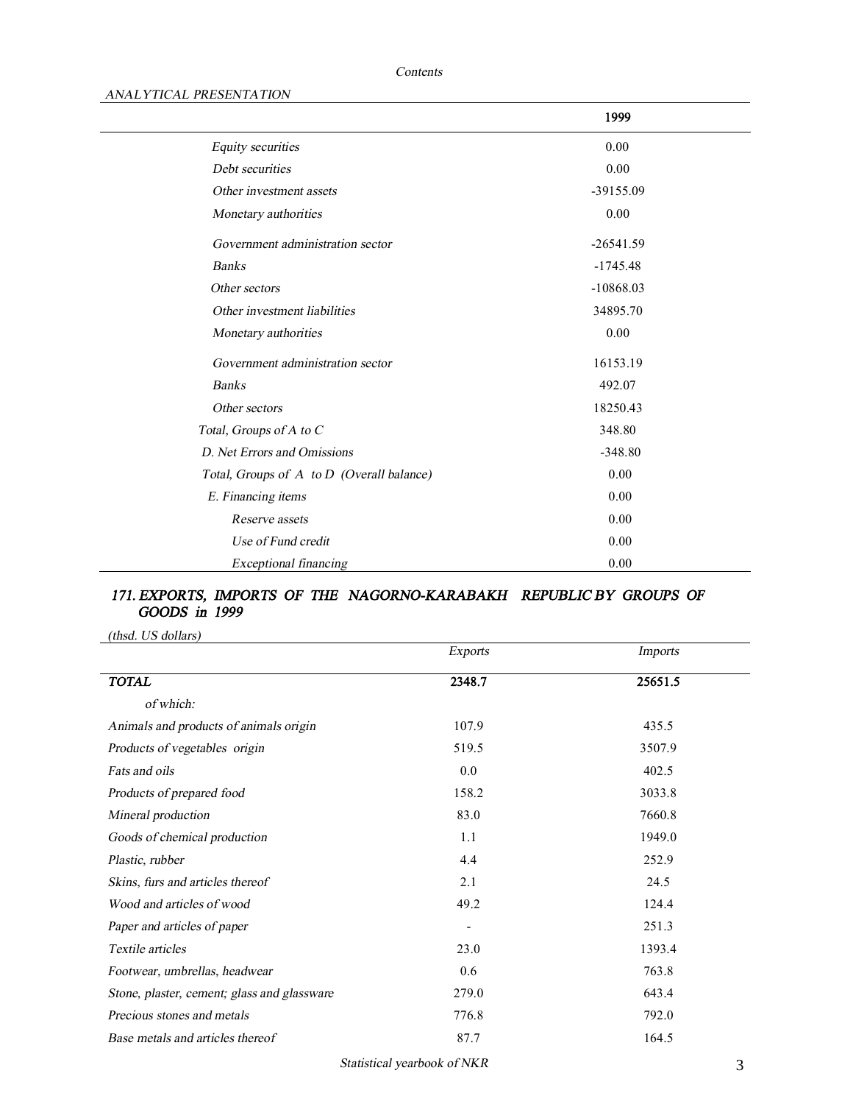### *Contents*

### *ANALYTICAL PRESENTATION*

|                                           | 1999        |  |
|-------------------------------------------|-------------|--|
| Equity securities                         | 0.00        |  |
| Debt securities                           | 0.00        |  |
| Other investment assets                   | $-39155.09$ |  |
| Monetary authorities                      | 0.00        |  |
| Government administration sector          | $-26541.59$ |  |
| <b>Banks</b>                              | $-1745.48$  |  |
| Other sectors                             | $-10868.03$ |  |
| Other investment liabilities              | 34895.70    |  |
| Monetary authorities                      | 0.00        |  |
| Government administration sector          | 16153.19    |  |
| <b>Banks</b>                              | 492.07      |  |
| Other sectors                             | 18250.43    |  |
| Total, Groups of A to C                   | 348.80      |  |
| D. Net Errors and Omissions               | $-348.80$   |  |
| Total, Groups of A to D (Overall balance) | 0.00        |  |
| E. Financing items                        | 0.00        |  |
| Reserve assets                            | 0.00        |  |
| Use of Fund credit                        | 0.00        |  |
| <b>Exceptional financing</b>              | 0.00        |  |

## *171. EXPORTS, IMPORTS OF THE NAGORNO-KARABAKH**REPUBLIC BY GROUPS OF GOODS in 1999*

*(thsd. US dollars)*

|                                             | <b>Exports</b>           | Imports |
|---------------------------------------------|--------------------------|---------|
| <b>TOTAL</b>                                | 2348.7                   | 25651.5 |
| of which:                                   |                          |         |
| Animals and products of animals origin      | 107.9                    | 435.5   |
| Products of vegetables origin               | 519.5                    | 3507.9  |
| Fats and oils                               | 0.0                      | 402.5   |
| Products of prepared food                   | 158.2                    | 3033.8  |
| Mineral production                          | 83.0                     | 7660.8  |
| Goods of chemical production                | 1.1                      | 1949.0  |
| Plastic, rubber                             | 4.4                      | 252.9   |
| Skins, furs and articles thereof            | 2.1                      | 24.5    |
| Wood and articles of wood                   | 49.2                     | 124.4   |
| Paper and articles of paper                 | $\overline{\phantom{a}}$ | 251.3   |
| Textile articles                            | 23.0                     | 1393.4  |
| Footwear, umbrellas, headwear               | 0.6                      | 763.8   |
| Stone, plaster, cement; glass and glassware | 279.0                    | 643.4   |
| Precious stones and metals                  | 776.8                    | 792.0   |
| Base metals and articles thereof            | 87.7                     | 164.5   |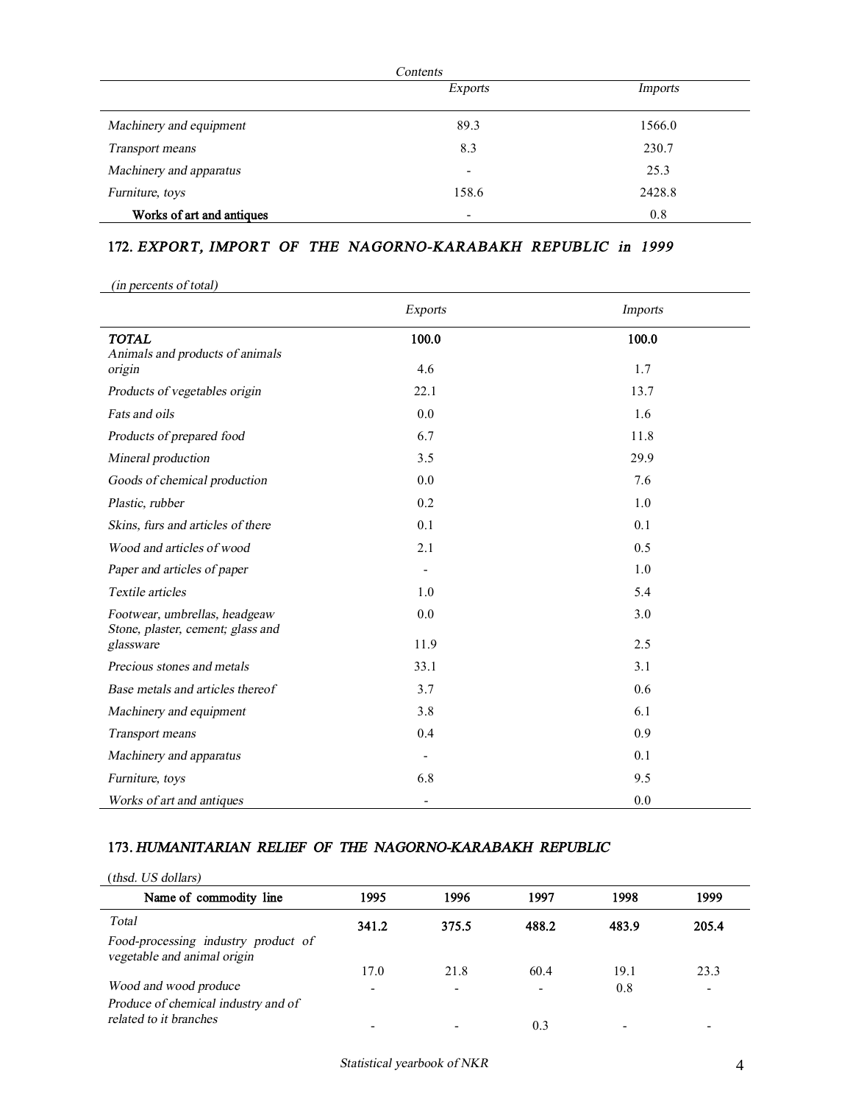|                           | Exports                  | Imports |
|---------------------------|--------------------------|---------|
| Machinery and equipment   | 89.3                     | 1566.0  |
| Transport means           | 8.3                      | 230.7   |
| Machinery and apparatus   | $\overline{\phantom{a}}$ | 25.3    |
| Furniture, toys           | 158.6                    | 2428.8  |
| Works of art and antiques | ۰                        | 0.8     |

# **172.** *EXPORT, IMPORT OF THE NAGORNO-KARABAKH REPUBLIC in 1999*

*(in percents of total)*

|                                                                    | <b>Exports</b>               | <b>Imports</b> |
|--------------------------------------------------------------------|------------------------------|----------------|
| <b>TOTAL</b><br>Animals and products of animals                    | 100.0                        | 100.0          |
| origin                                                             | 4.6                          | 1.7            |
| Products of vegetables origin                                      | 22.1                         | 13.7           |
| Fats and oils                                                      | 0.0                          | 1.6            |
| Products of prepared food                                          | 6.7                          | 11.8           |
| Mineral production                                                 | 3.5                          | 29.9           |
| Goods of chemical production                                       | 0.0                          | 7.6            |
| Plastic, rubber                                                    | 0.2                          | 1.0            |
| Skins, furs and articles of there                                  | 0.1                          | 0.1            |
| Wood and articles of wood                                          | 2.1                          | 0.5            |
| Paper and articles of paper                                        | ۳                            | 1.0            |
| Textile articles                                                   | 1.0                          | 5.4            |
| Footwear, umbrellas, headgeaw<br>Stone, plaster, cement; glass and | 0.0                          | 3.0            |
| glassware                                                          | 11.9                         | 2.5            |
| Precious stones and metals                                         | 33.1                         | 3.1            |
| Base metals and articles thereof                                   | 3.7                          | 0.6            |
| Machinery and equipment                                            | 3.8                          | 6.1            |
| Transport means                                                    | 0.4                          | 0.9            |
| Machinery and apparatus                                            |                              | 0.1            |
| Furniture, toys                                                    | 6.8                          | 9.5            |
| Works of art and antiques                                          | $\qquad \qquad \blacksquare$ | 0.0            |

### **173.** *HUMANITARIAN RELIEF OF THE NAGORNO-KARABAKH REPUBLIC*

| (thsd. US dollars)                                                 |                          |                          |                          |       |       |
|--------------------------------------------------------------------|--------------------------|--------------------------|--------------------------|-------|-------|
| Name of commodity line                                             | 1995                     | 1996                     | 1997                     | 1998  | 1999  |
| Total                                                              | 341.2                    | 375.5                    | 488.2                    | 483.9 | 205.4 |
| Food-processing industry product of<br>vegetable and animal origin |                          |                          |                          |       |       |
|                                                                    | 17.0                     | 21.8                     | 60.4                     | 19.1  | 23.3  |
| Wood and wood produce                                              | $\overline{\phantom{0}}$ | $\overline{\phantom{0}}$ | $\overline{\phantom{a}}$ | 0.8   |       |
| Produce of chemical industry and of                                |                          |                          |                          |       |       |
| related to it branches                                             |                          |                          | 0.3                      |       |       |